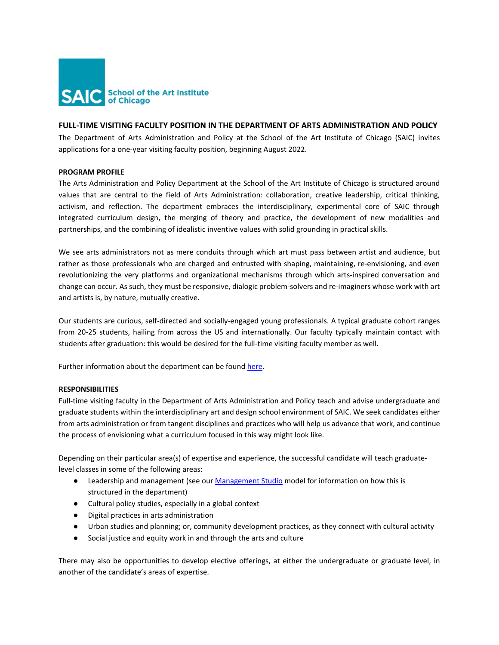

# **FULL-TIME VISITING FACULTY POSITION IN THE DEPARTMENT OF ARTS ADMINISTRATION AND POLICY**

The Department of Arts Administration and Policy at the School of the Art Institute of Chicago (SAIC) invites applications for a one-year visiting faculty position, beginning August 2022.

## **PROGRAM PROFILE**

The Arts Administration and Policy Department at the School of the Art Institute of Chicago is structured around values that are central to the field of Arts Administration: collaboration, creative leadership, critical thinking, activism, and reflection. The department embraces the interdisciplinary, experimental core of SAIC through integrated curriculum design, the merging of theory and practice, the development of new modalities and partnerships, and the combining of idealistic inventive values with solid grounding in practical skills.

We see arts administrators not as mere conduits through which art must pass between artist and audience, but rather as those professionals who are charged and entrusted with shaping, maintaining, re-envisioning, and even revolutionizing the very platforms and organizational mechanisms through which arts-inspired conversation and change can occur. As such, they must be responsive, dialogic problem-solvers and re-imaginers whose work with art and artists is, by nature, mutually creative.

Our students are curious, self-directed and socially-engaged young professionals. A typical graduate cohort ranges from 20-25 students, hailing from across the US and internationally. Our faculty typically maintain contact with students after graduation: this would be desired for the full-time visiting faculty member as well.

Further information about the department can be found here.

## **RESPONSIBILITIES**

Full-time visiting faculty in the Department of Arts Administration and Policy teach and advise undergraduate and graduate students within the interdisciplinary art and design school environment of SAIC. We seek candidates either from arts administration or from tangent disciplines and practices who will help us advance that work, and continue the process of envisioning what a curriculum focused in this way might look like.

Depending on their particular area(s) of expertise and experience, the successful candidate will teach graduatelevel classes in some of the following areas:

- Leade[r](http://www.saic.edu/academics/departments/arts-administration-and-policy/management-studio)ship and management (see our [Management Studio](http://www.saic.edu/academics/departments/arts-administration-and-policy/management-studio) model for information on how this is structured in the department)
- Cultural policy studies, especially in a global context
- Digital practices in arts administration
- Urban studies and planning; or, community development practices, as they connect with cultural activity
- Social justice and equity work in and through the arts and culture

There may also be opportunities to develop elective offerings, at either the undergraduate or graduate level, in another of the candidate's areas of expertise.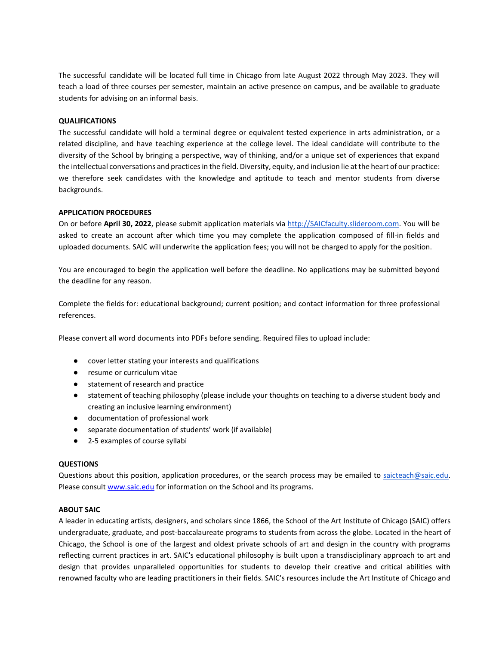The successful candidate will be located full time in Chicago from late August 2022 through May 2023. They will teach a load of three courses per semester, maintain an active presence on campus, and be available to graduate students for advising on an informal basis.

## **QUALIFICATIONS**

The successful candidate will hold a terminal degree or equivalent tested experience in arts administration, or a related discipline, and have teaching experience at the college level. The ideal candidate will contribute to the diversity of the School by bringing a perspective, way of thinking, and/or a unique set of experiences that expand the intellectual conversations and practices in the field. Diversity, equity, and inclusion lie at the heart of our practice: we therefore seek candidates with the knowledge and aptitude to teach and mentor students from diverse backgrounds.

#### **APPLICATION PROCEDURES**

On or before **April 30, 2022**, please submit application materials via [http://SAICfaculty.slideroom.com.](http://saicfaculty.slideroom.com/) You will be asked to create an account after which time you may complete the application composed of fill-in fields and uploaded documents. SAIC will underwrite the application fees; you will not be charged to apply for the position.

You are encouraged to begin the application well before the deadline. No applications may be submitted beyond the deadline for any reason.

Complete the fields for: educational background; current position; and contact information for three professional references.

Please convert all word documents into PDFs before sending. Required files to upload include:

- cover letter stating your interests and qualifications
- resume or curriculum vitae
- statement of research and practice
- statement of teaching philosophy (please include your thoughts on teaching to a diverse student body and creating an inclusive learning environment)
- documentation of professional work
- separate documentation of students' work (if available)
- 2-5 examples of course syllabi

#### **QUESTIONS**

Questions about this position, application procedures, or the search process may be emailed to saicteach@saic.edu. Please consult [www.saic.edu](http://www.saic.edu/) for information on the School and its programs.

### **ABOUT SAIC**

A leader in educating artists, designers, and scholars since 1866, the School of the Art Institute of Chicago (SAIC) offers undergraduate, graduate, and post-baccalaureate programs to students from across the globe. Located in the heart of Chicago, the School is one of the largest and oldest private schools of art and design in the country with programs reflecting current practices in art. SAIC's educational philosophy is built upon a transdisciplinary approach to art and design that provides unparalleled opportunities for students to develop their creative and critical abilities with renowned faculty who are leading practitioners in their fields. SAIC's resources include the Art Institute of Chicago and